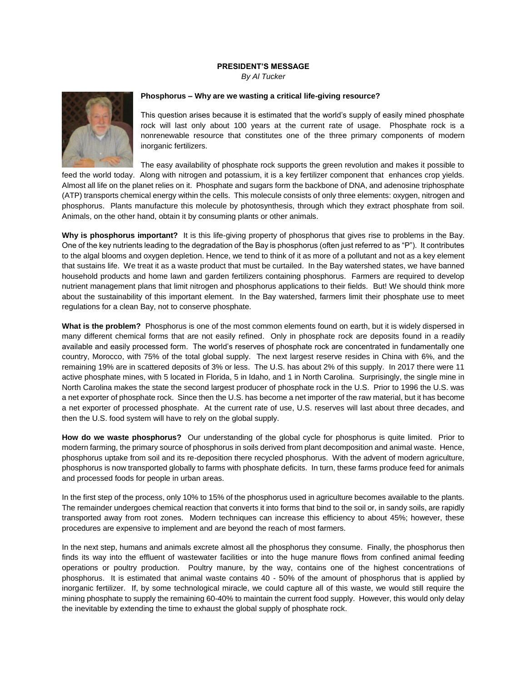## **PRESIDENT'S MESSAGE**

*By Al Tucker*



## **Phosphorus – Why are we wasting a critical life-giving resource?**

This question arises because it is estimated that the world's supply of easily mined phosphate rock will last only about 100 years at the current rate of usage. Phosphate rock is a nonrenewable resource that constitutes one of the three primary components of modern inorganic fertilizers.

The easy availability of phosphate rock supports the green revolution and makes it possible to

feed the world today. Along with nitrogen and potassium, it is a key fertilizer component that enhances crop yields. Almost all life on the planet relies on it. Phosphate and sugars form the backbone of DNA, and adenosine triphosphate (ATP) transports chemical energy within the cells. This molecule consists of only three elements: oxygen, nitrogen and phosphorus. Plants manufacture this molecule by photosynthesis, through which they extract phosphate from soil. Animals, on the other hand, obtain it by consuming plants or other animals.

**Why is phosphorus important?** It is this life-giving property of phosphorus that gives rise to problems in the Bay. One of the key nutrients leading to the degradation of the Bay is phosphorus (often just referred to as "P"). It contributes to the algal blooms and oxygen depletion. Hence, we tend to think of it as more of a pollutant and not as a key element that sustains life. We treat it as a waste product that must be curtailed. In the Bay watershed states, we have banned household products and home lawn and garden fertilizers containing phosphorus. Farmers are required to develop nutrient management plans that limit nitrogen and phosphorus applications to their fields. But! We should think more about the sustainability of this important element. In the Bay watershed, farmers limit their phosphate use to meet regulations for a clean Bay, not to conserve phosphate.

**What is the problem?** Phosphorus is one of the most common elements found on earth, but it is widely dispersed in many different chemical forms that are not easily refined. Only in phosphate rock are deposits found in a readily available and easily processed form. The world's reserves of phosphate rock are concentrated in fundamentally one country, Morocco, with 75% of the total global supply. The next largest reserve resides in China with 6%, and the remaining 19% are in scattered deposits of 3% or less. The U.S. has about 2% of this supply. In 2017 there were 11 active phosphate mines, with 5 located in Florida, 5 in Idaho, and 1 in North Carolina. Surprisingly, the single mine in North Carolina makes the state the second largest producer of phosphate rock in the U.S. Prior to 1996 the U.S. was a net exporter of phosphate rock. Since then the U.S. has become a net importer of the raw material, but it has become a net exporter of processed phosphate. At the current rate of use, U.S. reserves will last about three decades, and then the U.S. food system will have to rely on the global supply.

**How do we waste phosphorus?** Our understanding of the global cycle for phosphorus is quite limited. Prior to modern farming, the primary source of phosphorus in soils derived from plant decomposition and animal waste. Hence, phosphorus uptake from soil and its re-deposition there recycled phosphorus. With the advent of modern agriculture, phosphorus is now transported globally to farms with phosphate deficits. In turn, these farms produce feed for animals and processed foods for people in urban areas.

In the first step of the process, only 10% to 15% of the phosphorus used in agriculture becomes available to the plants. The remainder undergoes chemical reaction that converts it into forms that bind to the soil or, in sandy soils, are rapidly transported away from root zones. Modern techniques can increase this efficiency to about 45%; however, these procedures are expensive to implement and are beyond the reach of most farmers.

In the next step, humans and animals excrete almost all the phosphorus they consume. Finally, the phosphorus then finds its way into the effluent of wastewater facilities or into the huge manure flows from confined animal feeding operations or poultry production. Poultry manure, by the way, contains one of the highest concentrations of phosphorus. It is estimated that animal waste contains 40 - 50% of the amount of phosphorus that is applied by inorganic fertilizer. If, by some technological miracle, we could capture all of this waste, we would still require the mining phosphate to supply the remaining 60-40% to maintain the current food supply. However, this would only delay the inevitable by extending the time to exhaust the global supply of phosphate rock.